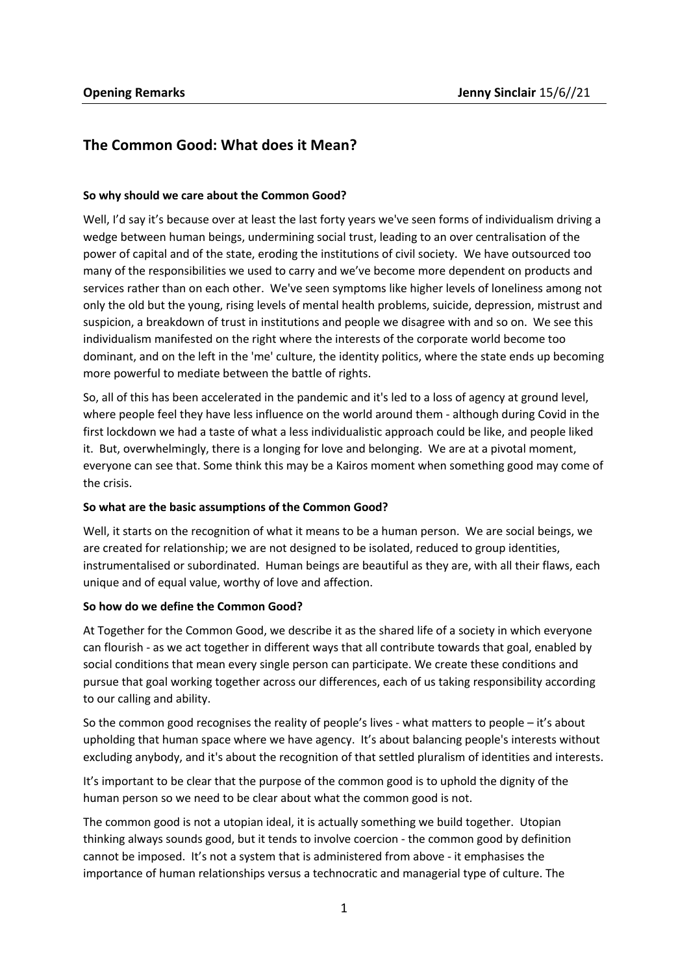# **The Common Good: What does it Mean?**

### **So why should we care about the Common Good?**

Well, I'd say it's because over at least the last forty years we've seen forms of individualism driving a wedge between human beings, undermining social trust, leading to an over centralisation of the power of capital and of the state, eroding the institutions of civil society. We have outsourced too many of the responsibilities we used to carry and we've become more dependent on products and services rather than on each other. We've seen symptoms like higher levels of loneliness among not only the old but the young, rising levels of mental health problems, suicide, depression, mistrust and suspicion, a breakdown of trust in institutions and people we disagree with and so on. We see this individualism manifested on the right where the interests of the corporate world become too dominant, and on the left in the 'me' culture, the identity politics, where the state ends up becoming more powerful to mediate between the battle of rights.

So, all of this has been accelerated in the pandemic and it's led to a loss of agency at ground level, where people feel they have less influence on the world around them - although during Covid in the first lockdown we had a taste of what a less individualistic approach could be like, and people liked it. But, overwhelmingly, there is a longing for love and belonging. We are at a pivotal moment, everyone can see that. Some think this may be a Kairos moment when something good may come of the crisis.

### **So what are the basic assumptions of the Common Good?**

Well, it starts on the recognition of what it means to be a human person. We are social beings, we are created for relationship; we are not designed to be isolated, reduced to group identities, instrumentalised or subordinated. Human beings are beautiful as they are, with all their flaws, each unique and of equal value, worthy of love and affection.

### **So how do we define the Common Good?**

At Together for the Common Good, we describe it as the shared life of a society in which everyone can flourish - as we act together in different ways that all contribute towards that goal, enabled by social conditions that mean every single person can participate. We create these conditions and pursue that goal working together across our differences, each of us taking responsibility according to our calling and ability.

So the common good recognises the reality of people's lives - what matters to people – it's about upholding that human space where we have agency. It's about balancing people's interests without excluding anybody, and it's about the recognition of that settled pluralism of identities and interests.

It's important to be clear that the purpose of the common good is to uphold the dignity of the human person so we need to be clear about what the common good is not.

The common good is not a utopian ideal, it is actually something we build together. Utopian thinking always sounds good, but it tends to involve coercion - the common good by definition cannot be imposed. It's not a system that is administered from above - it emphasises the importance of human relationships versus a technocratic and managerial type of culture. The